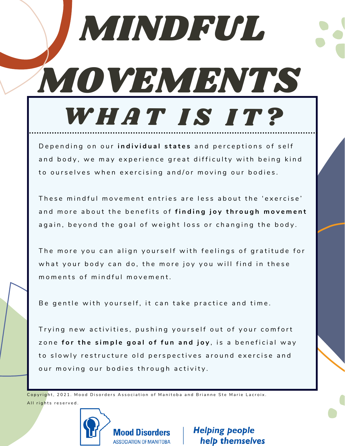## MINDFUL MOVEMENTS WHAT IS IT?

Depending on our *individual* states and perceptions of self and body, we may experience great difficulty with being kind to ourselves when exercising and/or moving our bodies.

These mindful movement entries are less about the 'exercise' and more about the benefits of finding joy through movement again, beyond the goal of weight loss or changing the body.

The more you can align yourself with feelings of gratitude for what your body can do, the more joy you will find in these moments of mindful movement.

Be gentle with yourself, it can take practice and time.

Trying new activities, pushing yourself out of your comfort zone for the simple goal of fun and joy, is a beneficial way to slowly restructure old perspectives around exercise and our moving our bodies through activity.

Copyright, 2021. Mood Disorders Association of Manitoba and Brianne Ste Marie Lacroix. All rights reserved.

**Mood Disorders** 

**ASSOCIATION OF MANITOBA** 

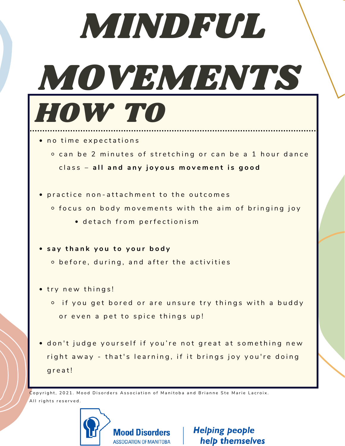| MINDFUL,                                                                                                                           |
|------------------------------------------------------------------------------------------------------------------------------------|
| NOVEMBNIS                                                                                                                          |
| HOW TO                                                                                                                             |
| · no time expectations<br>o can be 2 minutes of stretching or can be a 1 hour dance<br>class - all and any joyous movement is good |
| practice non-attachment to the outcomes<br>o focus on body movements with the aim of bringing joy<br>· detach from perfectionism   |
| say thank you to your body<br>o before, during, and after the activities                                                           |
| try new things!<br>• if you get bored or are unsure try things with a buddy<br>or even a pet to spice things up!                   |
| don't judge yourself if you're not great at something new<br>right away - that's learning, if it brings joy you're doing<br>great! |

 $\mathcal C$ opyright, 2021. Mood Disorders Association of Manitoba and Brianne Ste Marie Lacroix. All rights reserved.

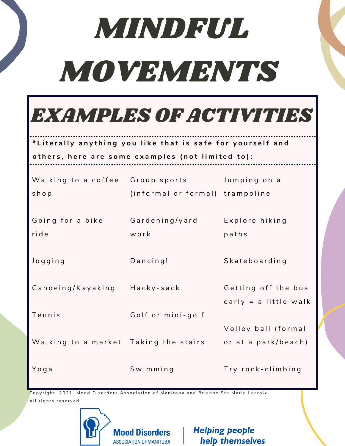## MINDFUL MOVEMENTS



## \*Literally anything you like that is safe for yourself and

others, here are some examples (not limited to):

| Walking to a coffee<br>shop           | Group sports <b>compared</b><br>(informal or formal) trampoline | Jumping on a                                 |
|---------------------------------------|-----------------------------------------------------------------|----------------------------------------------|
| Going for a bike<br>ride              | Gardening/yard<br>work                                          | Explore hiking<br>paths                      |
| Jogging                               | $D$ ancing!                                                     | Skateboarding                                |
| Canoeing/Kayaking                     | Hacky-sack                                                      | Getting off the bus<br>early = a little walk |
| Tennis                                | Golf or mini-golf                                               |                                              |
| Walking to a market Taking the stairs |                                                                 | Volley ball (formal<br>or at a park/beach)   |
| Yoga                                  | Swimming                                                        | Try rock-climbing                            |

Copyright, 2021. Mood Disorders Association of Manitoba and Brianne Ste Marie Lacroix. All rights reserved.